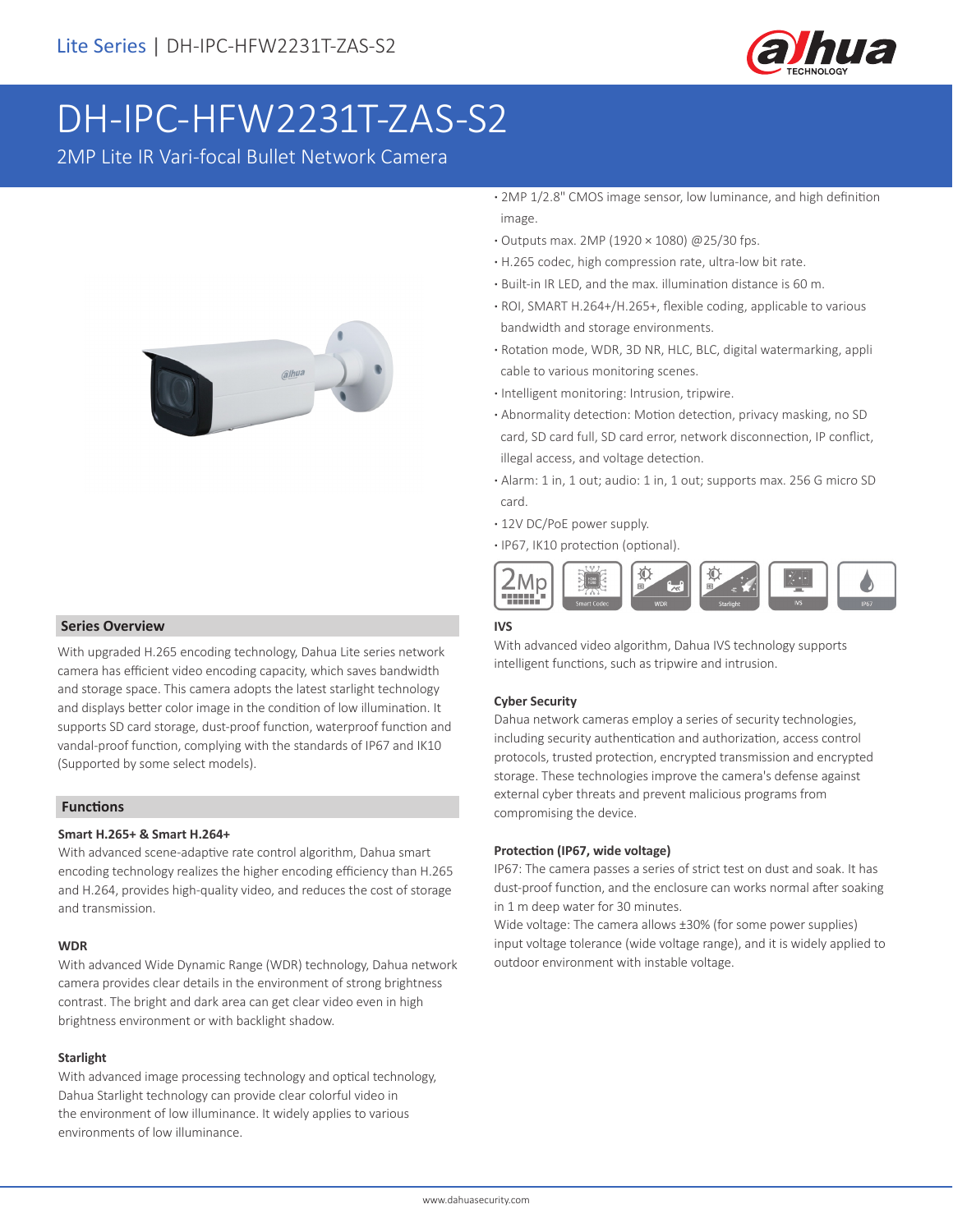

# DH-IPC-HFW2231T-ZAS-S2

2MP Lite IR Vari-focal Bullet Network Camera



#### **Series Overview**

With upgraded H.265 encoding technology, Dahua Lite series network camera has efficient video encoding capacity, which saves bandwidth and storage space. This camera adopts the latest starlight technology and displays better color image in the condition of low illumination. It supports SD card storage, dust-proof function, waterproof function and vandal-proof function, complying with the standards of IP67 and IK10 (Supported by some select models).

#### **Functions**

#### **Smart H.265+ & Smart H.264+**

With advanced scene-adaptive rate control algorithm, Dahua smart encoding technology realizes the higher encoding efficiency than H.265 and H.264, provides high-quality video, and reduces the cost of storage and transmission.

#### **WDR**

With advanced Wide Dynamic Range (WDR) technology, Dahua network camera provides clear details in the environment of strong brightness contrast. The bright and dark area can get clear video even in high brightness environment or with backlight shadow.

#### **Starlight**

With advanced image processing technology and optical technology, Dahua Starlight technology can provide clear colorful video in the environment of low illuminance. It widely applies to various environments of low illuminance.

- **·** 2MP 1/2.8" CMOS image sensor, low luminance, and high definition image.
- **·** Outputs max. 2MP (1920 × 1080) @25/30 fps.
- **·** H.265 codec, high compression rate, ultra-low bit rate.
- **·** Built-in IR LED, and the max. illumination distance is 60 m.
- **·** ROI, SMART H.264+/H.265+, flexible coding, applicable to various bandwidth and storage environments.
- **·** Rotation mode, WDR, 3D NR, HLC, BLC, digital watermarking, appli cable to various monitoring scenes.
- **·** Intelligent monitoring: Intrusion, tripwire.
- **·** Abnormality detection: Motion detection, privacy masking, no SD card, SD card full, SD card error, network disconnection, IP conflict, illegal access, and voltage detection.
- **·** Alarm: 1 in, 1 out; audio: 1 in, 1 out; supports max. 256 G micro SD card.
- **·** 12V DC/PoE power supply.
- **·** IP67, IK10 protection (optional).



#### **IVS**

With advanced video algorithm, Dahua IVS technology supports intelligent functions, such as tripwire and intrusion.

#### **Cyber Security**

Dahua network cameras employ a series of security technologies, including security authentication and authorization, access control protocols, trusted protection, encrypted transmission and encrypted storage. These technologies improve the camera's defense against external cyber threats and prevent malicious programs from compromising the device.

#### **Protection (IP67, wide voltage)**

IP67: The camera passes a series of strict test on dust and soak. It has dust-proof function, and the enclosure can works normal after soaking in 1 m deep water for 30 minutes.

Wide voltage: The camera allows ±30% (for some power supplies) input voltage tolerance (wide voltage range), and it is widely applied to outdoor environment with instable voltage.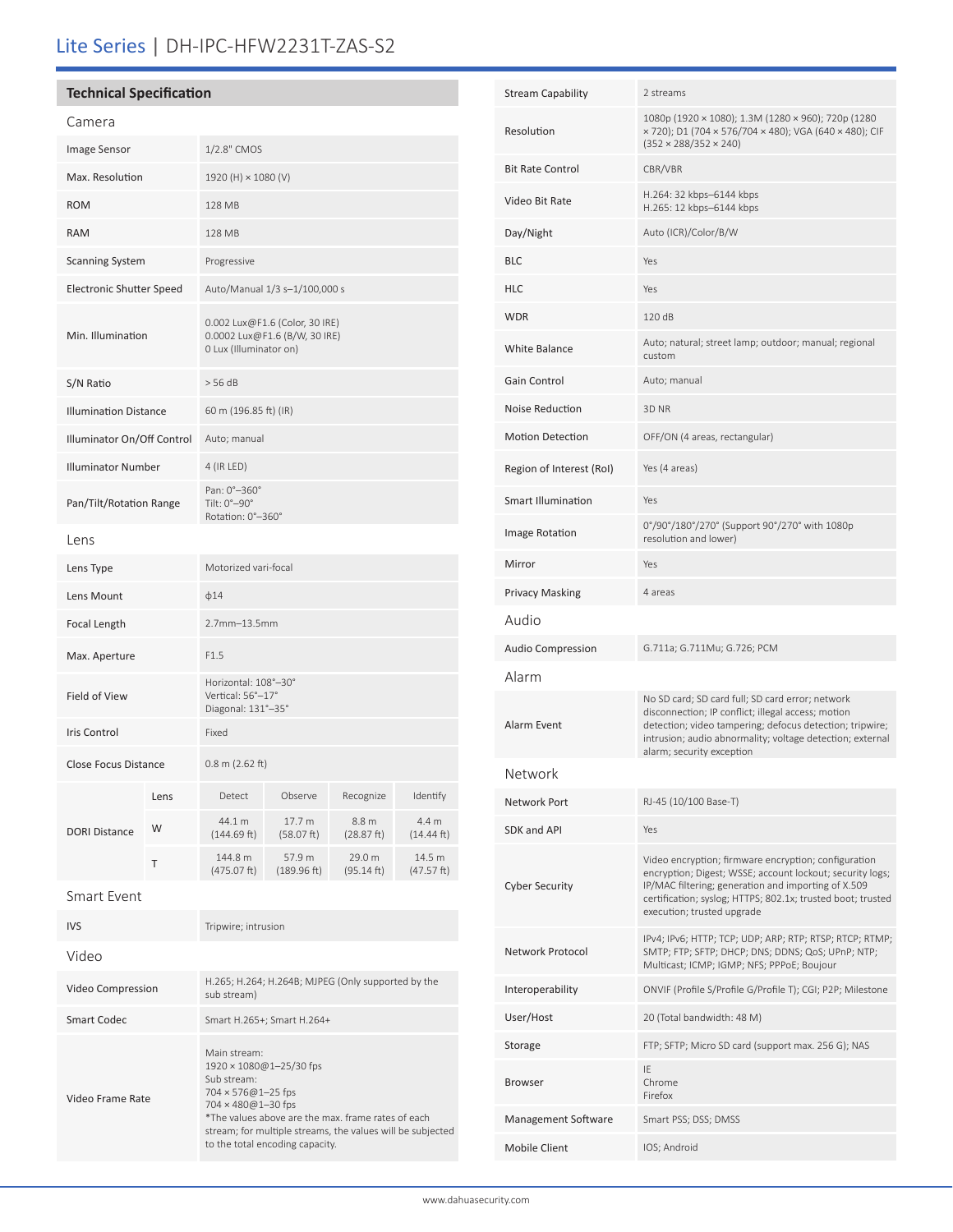# Lite Series | DH-IPC-HFW2231T-ZAS-S2

## **Technical Specification**

| Camera                          |      |                                                                                           |                       |                      |                      |
|---------------------------------|------|-------------------------------------------------------------------------------------------|-----------------------|----------------------|----------------------|
| <b>Image Sensor</b>             |      | 1/2.8" CMOS                                                                               |                       |                      |                      |
| Max. Resolution                 |      | 1920 (H) × 1080 (V)                                                                       |                       |                      |                      |
| <b>ROM</b>                      |      | 128 MB                                                                                    |                       |                      |                      |
| <b>RAM</b>                      |      | 128 MB                                                                                    |                       |                      |                      |
| <b>Scanning System</b>          |      | Progressive                                                                               |                       |                      |                      |
| <b>Electronic Shutter Speed</b> |      | Auto/Manual 1/3 s-1/100,000 s                                                             |                       |                      |                      |
| Min. Illumination               |      | 0.002 Lux@F1.6 (Color, 30 IRE)<br>0.0002 Lux@F1.6 (B/W, 30 IRE)<br>0 Lux (Illuminator on) |                       |                      |                      |
| S/N Ratio                       |      | > 56 dB                                                                                   |                       |                      |                      |
| <b>Illumination Distance</b>    |      | 60 m (196.85 ft) (IR)                                                                     |                       |                      |                      |
| Illuminator On/Off Control      |      | Auto; manual                                                                              |                       |                      |                      |
| <b>Illuminator Number</b>       |      | 4 (IR LED)                                                                                |                       |                      |                      |
| Pan/Tilt/Rotation Range         |      | Pan: 0°-360°<br>Tilt: 0°-90°<br>Rotation: 0°-360°                                         |                       |                      |                      |
| Lens                            |      |                                                                                           |                       |                      |                      |
| Lens Type                       |      | Motorized vari-focal                                                                      |                       |                      |                      |
| Lens Mount                      |      | $\phi$ 14                                                                                 |                       |                      |                      |
| Focal Length                    |      | 2.7mm-13.5mm                                                                              |                       |                      |                      |
| Max. Aperture                   |      | F1.5                                                                                      |                       |                      |                      |
| Field of View                   |      | Horizontal: 108°-30°<br>Vertical: 56°-17°<br>Diagonal: 131°-35°                           |                       |                      |                      |
| <b>Iris Control</b>             |      | Fixed                                                                                     |                       |                      |                      |
| <b>Close Focus Distance</b>     |      | $0.8$ m (2.62 ft)                                                                         |                       |                      |                      |
| <b>DORI Distance</b>            | Lens | Detect                                                                                    | Observe               | Recognize            | Identify             |
|                                 | W    | 44.1 m<br>(144.69 ft)                                                                     | 17.7 m<br>(58.07 ft)  | 8.8 m<br>(28.87 ft)  | 4.4 m<br>(14.44 ft)  |
|                                 | т    | 144.8 m<br>(475.07 ft)                                                                    | 57.9 m<br>(189.96 ft) | 29.0 m<br>(95.14 ft) | 14.5 m<br>(47.57 ft) |
| <b>Smart Event</b>              |      |                                                                                           |                       |                      |                      |

| <b>IVS</b>        | Tripwire; intrusion                                                                                                                                                                                                                                                |  |  |
|-------------------|--------------------------------------------------------------------------------------------------------------------------------------------------------------------------------------------------------------------------------------------------------------------|--|--|
| Video             |                                                                                                                                                                                                                                                                    |  |  |
| Video Compression | H.265; H.264; H.264B; MJPEG (Only supported by the<br>sub stream)                                                                                                                                                                                                  |  |  |
| Smart Codec       | Smart H.265+; Smart H.264+                                                                                                                                                                                                                                         |  |  |
| Video Frame Rate  | Main stream:<br>1920 × 1080@1-25/30 fps<br>Sub stream:<br>$704 \times 576@1 - 25$ fps<br>704 × 480@1-30 fps<br>*The values above are the max, frame rates of each<br>stream; for multiple streams, the values will be subjected<br>to the total encoding capacity. |  |  |

| <b>Stream Capability</b> | 2 streams                                                                                                                                                                                                                                                             |  |  |
|--------------------------|-----------------------------------------------------------------------------------------------------------------------------------------------------------------------------------------------------------------------------------------------------------------------|--|--|
| Resolution               | 1080p (1920 × 1080); 1.3M (1280 × 960); 720p (1280<br>x 720); D1 (704 x 576/704 x 480); VGA (640 x 480); CIF<br>$(352 \times 288/352 \times 240)$                                                                                                                     |  |  |
| <b>Bit Rate Control</b>  | CBR/VBR                                                                                                                                                                                                                                                               |  |  |
| Video Bit Rate           | H.264: 32 kbps-6144 kbps<br>H.265: 12 kbps-6144 kbps                                                                                                                                                                                                                  |  |  |
| Day/Night                | Auto (ICR)/Color/B/W                                                                                                                                                                                                                                                  |  |  |
| <b>BLC</b>               | Yes                                                                                                                                                                                                                                                                   |  |  |
| HLC                      | Yes                                                                                                                                                                                                                                                                   |  |  |
| <b>WDR</b>               | 120 dB                                                                                                                                                                                                                                                                |  |  |
| <b>White Balance</b>     | Auto; natural; street lamp; outdoor; manual; regional<br>custom                                                                                                                                                                                                       |  |  |
| Gain Control             | Auto; manual                                                                                                                                                                                                                                                          |  |  |
| Noise Reduction          | 3D <sub>NR</sub>                                                                                                                                                                                                                                                      |  |  |
| <b>Motion Detection</b>  | OFF/ON (4 areas, rectangular)                                                                                                                                                                                                                                         |  |  |
| Region of Interest (RoI) | Yes (4 areas)                                                                                                                                                                                                                                                         |  |  |
| Smart Illumination       | Yes                                                                                                                                                                                                                                                                   |  |  |
| Image Rotation           | 0°/90°/180°/270° (Support 90°/270° with 1080p<br>resolution and lower)                                                                                                                                                                                                |  |  |
| Mirror                   | Yes                                                                                                                                                                                                                                                                   |  |  |
| <b>Privacy Masking</b>   | 4 areas                                                                                                                                                                                                                                                               |  |  |
| Audio                    |                                                                                                                                                                                                                                                                       |  |  |
| <b>Audio Compression</b> | G.711a; G.711Mu; G.726; PCM                                                                                                                                                                                                                                           |  |  |
| Alarm                    |                                                                                                                                                                                                                                                                       |  |  |
| Alarm Event              | No SD card; SD card full; SD card error; network<br>disconnection; IP conflict; illegal access; motion<br>detection; video tampering; defocus detection; tripwire;<br>intrusion; audio abnormality; voltage detection; external<br>alarm; security exception          |  |  |
| Network                  |                                                                                                                                                                                                                                                                       |  |  |
| <b>Network Port</b>      | RJ-45 (10/100 Base-T)                                                                                                                                                                                                                                                 |  |  |
| SDK and API              | Yes                                                                                                                                                                                                                                                                   |  |  |
| <b>Cyber Security</b>    | Video encryption; firmware encryption; configuration<br>encryption; Digest; WSSE; account lockout; security logs;<br>IP/MAC filtering; generation and importing of X.509<br>certification; syslog; HTTPS; 802.1x; trusted boot; trusted<br>execution; trusted upgrade |  |  |
| Network Protocol         | IPv4; IPv6; HTTP; TCP; UDP; ARP; RTP; RTSP; RTCP; RTMP;<br>SMTP; FTP; SFTP; DHCP; DNS; DDNS; QoS; UPnP; NTP;<br>Multicast; ICMP; IGMP; NFS; PPPoE; Boujour                                                                                                            |  |  |
| Interoperability         | ONVIF (Profile S/Profile G/Profile T); CGI; P2P; Milestone                                                                                                                                                                                                            |  |  |
| User/Host                | 20 (Total bandwidth: 48 M)                                                                                                                                                                                                                                            |  |  |
| Storage                  | FTP; SFTP; Micro SD card (support max. 256 G); NAS                                                                                                                                                                                                                    |  |  |
| <b>Browser</b>           | IE<br>Chrome<br>Firefox                                                                                                                                                                                                                                               |  |  |
| Management Software      | Smart PSS; DSS; DMSS                                                                                                                                                                                                                                                  |  |  |
| Mobile Client            | IOS; Android                                                                                                                                                                                                                                                          |  |  |